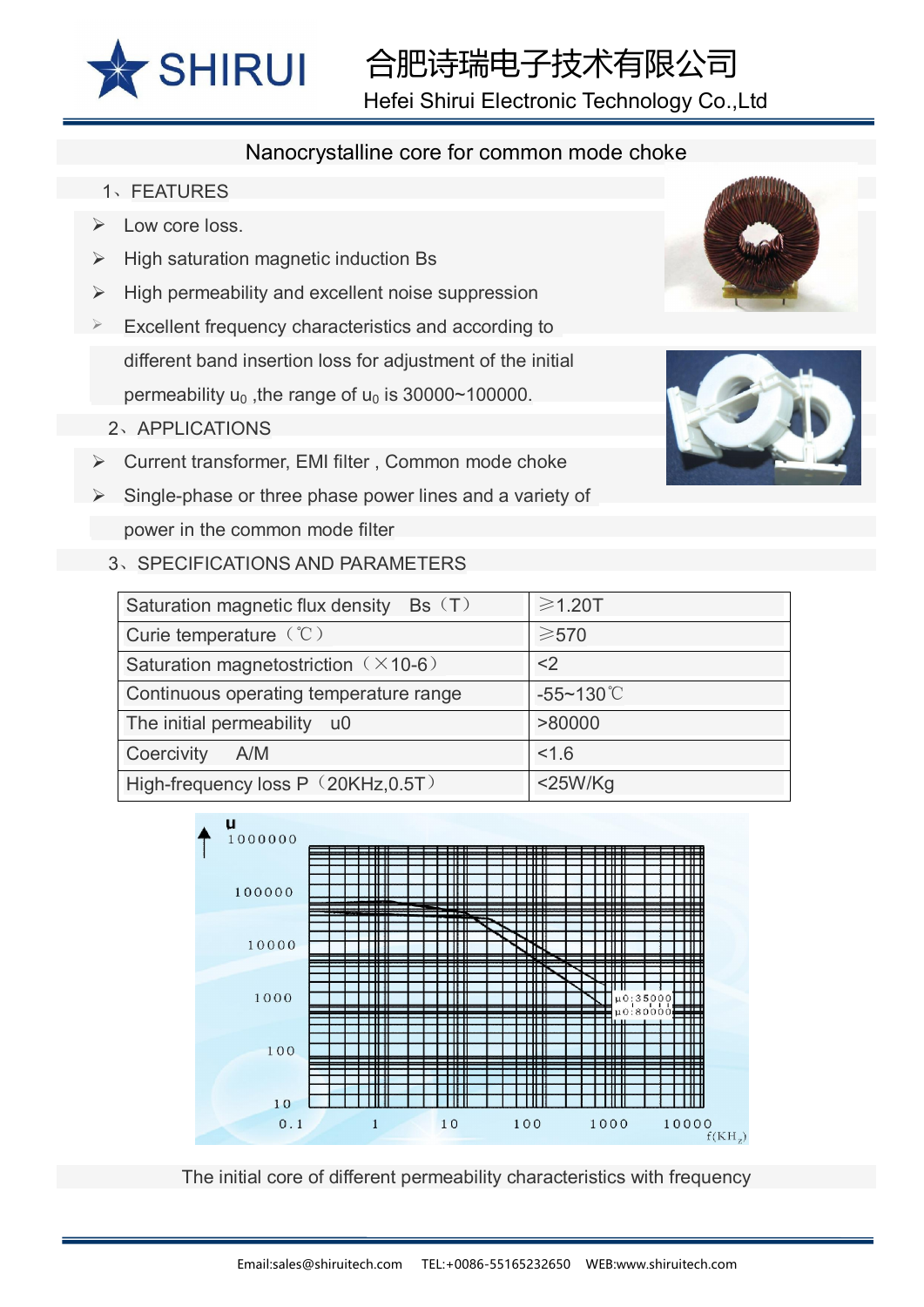

## 合肥诗瑞电子技术有限公司

Hefei Shirui Electronic Technology Co.,Ltd

## Nanocrystalline core for common mode choke

- 1、FEATURES
- Low core loss.
- $\triangleright$  High saturation magnetic induction Bs
- $\triangleright$  High permeability and excellent noise suppression
- Excellent frequency characteristics and according to different band insertion loss for adjustment of the initial permeability  $u_0$ , the range of  $u_0$  is 30000~100000.
	- 2、APPLICATIONS
- $\triangleright$  Current transformer, EMI filter, Common mode choke
- Single-phase or three phase power lines and a variety of power in the common mode filter







3、SPECIFICATIONS AND PARAMETERS

| Saturation magnetic flux density Bs (T)     | $\geq 1.20$ T         |
|---------------------------------------------|-----------------------|
| Curie temperature $({\cal C})$              | $\geqslant$ 570       |
| Saturation magnetostriction $(\times 10-6)$ | $<$ 2                 |
| Continuous operating temperature range      | $-55 - 130^{\circ}$ C |
| The initial permeability u0                 | >80000                |
| Coercivity<br>A/M                           | 1.6                   |
| High-frequency loss P (20KHz, 0.5T)         | $<$ 25W/Kg            |



The initial core of different permeability characteristics with frequency